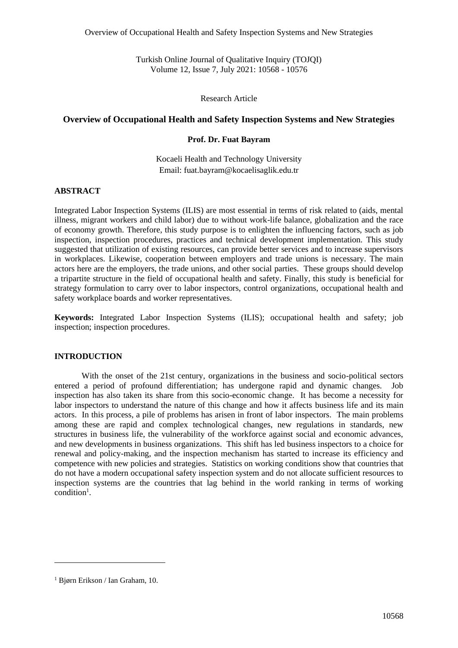Turkish Online Journal of Qualitative Inquiry (TOJQI) Volume 12, Issue 7, July 2021: 10568 - 10576

Research Article

## **Overview of Occupational Health and Safety Inspection Systems and New Strategies**

## **Prof. Dr. Fuat Bayram**

Kocaeli Health and Technology University Email: fuat.bayram@kocaelisaglik.edu.tr

## **ABSTRACT**

Integrated Labor Inspection Systems (ILIS) are most essential in terms of risk related to (aids, mental illness, migrant workers and child labor) due to without work-life balance, globalization and the race of economy growth. Therefore, this study purpose is to enlighten the influencing factors, such as job inspection, inspection procedures, practices and technical development implementation. This study suggested that utilization of existing resources, can provide better services and to increase supervisors in workplaces. Likewise, cooperation between employers and trade unions is necessary. The main actors here are the employers, the trade unions, and other social parties. These groups should develop a tripartite structure in the field of occupational health and safety. Finally, this study is beneficial for strategy formulation to carry over to labor inspectors, control organizations, occupational health and safety workplace boards and worker representatives.

**Keywords:** Integrated Labor Inspection Systems (ILIS); occupational health and safety; job inspection; inspection procedures.

### **INTRODUCTION**

With the onset of the 21st century, organizations in the business and socio-political sectors entered a period of profound differentiation; has undergone rapid and dynamic changes. Job inspection has also taken its share from this socio-economic change. It has become a necessity for labor inspectors to understand the nature of this change and how it affects business life and its main actors. In this process, a pile of problems has arisen in front of labor inspectors. The main problems among these are rapid and complex technological changes, new regulations in standards, new structures in business life, the vulnerability of the workforce against social and economic advances, and new developments in business organizations. This shift has led business inspectors to a choice for renewal and policy-making, and the inspection mechanism has started to increase its efficiency and competence with new policies and strategies. Statistics on working conditions show that countries that do not have a modern occupational safety inspection system and do not allocate sufficient resources to inspection systems are the countries that lag behind in the world ranking in terms of working condition 1 .

<sup>1</sup> Bjørn Erikson / Ian Graham, 10.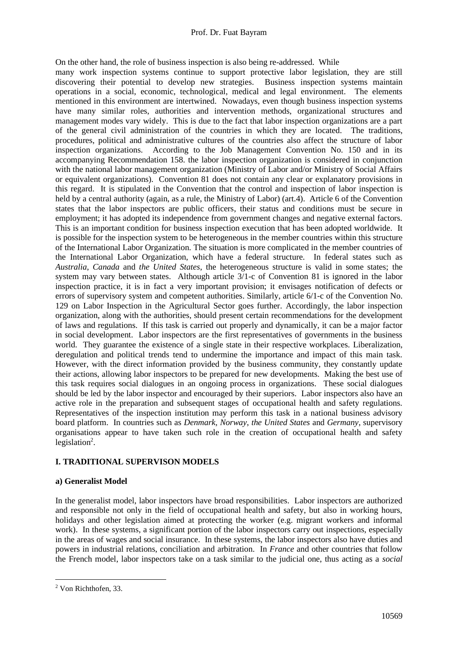On the other hand, the role of business inspection is also being re-addressed. While

many work inspection systems continue to support protective labor legislation, they are still discovering their potential to develop new strategies. Business inspection systems maintain operations in a social, economic, technological, medical and legal environment. The elements mentioned in this environment are intertwined. Nowadays, even though business inspection systems have many similar roles, authorities and intervention methods, organizational structures and management modes vary widely. This is due to the fact that labor inspection organizations are a part of the general civil administration of the countries in which they are located. The traditions, procedures, political and administrative cultures of the countries also affect the structure of labor inspection organizations. According to the Job Management Convention No. 150 and in its accompanying Recommendation 158. the labor inspection organization is considered in conjunction with the national labor management organization (Ministry of Labor and/or Ministry of Social Affairs or equivalent organizations). Convention 81 does not contain any clear or explanatory provisions in this regard. It is stipulated in the Convention that the control and inspection of labor inspection is held by a central authority (again, as a rule, the Ministry of Labor) (art.4). Article 6 of the Convention states that the labor inspectors are public officers, their status and conditions must be secure in employment; it has adopted its independence from government changes and negative external factors. This is an important condition for business inspection execution that has been adopted worldwide. It is possible for the inspection system to be heterogeneous in the member countries within this structure of the International Labor Organization. The situation is more complicated in the member countries of the International Labor Organization, which have a federal structure. In federal states such as *Australia*, *Canada* and *the United States*, the heterogeneous structure is valid in some states; the system may vary between states. Although article 3/1-c of Convention 81 is ignored in the labor inspection practice, it is in fact a very important provision; it envisages notification of defects or errors of supervisory system and competent authorities. Similarly, article 6/1-c of the Convention No. 129 on Labor Inspection in the Agricultural Sector goes further. Accordingly, the labor inspection organization, along with the authorities, should present certain recommendations for the development of laws and regulations. If this task is carried out properly and dynamically, it can be a major factor in social development. Labor inspectors are the first representatives of governments in the business world. They guarantee the existence of a single state in their respective workplaces. Liberalization, deregulation and political trends tend to undermine the importance and impact of this main task. However, with the direct information provided by the business community, they constantly update their actions, allowing labor inspectors to be prepared for new developments. Making the best use of this task requires social dialogues in an ongoing process in organizations. These social dialogues should be led by the labor inspector and encouraged by their superiors. Labor inspectors also have an active role in the preparation and subsequent stages of occupational health and safety regulations. Representatives of the inspection institution may perform this task in a national business advisory board platform. In countries such as *Denmark*, *Norway*, *the United States* and *Germany*, supervisory organisations appear to have taken such role in the creation of occupational health and safety legislation<sup>2</sup>.

### **I. TRADITIONAL SUPERVISON MODELS**

### **a) Generalist Model**

In the generalist model, labor inspectors have broad responsibilities. Labor inspectors are authorized and responsible not only in the field of occupational health and safety, but also in working hours, holidays and other legislation aimed at protecting the worker (e.g. migrant workers and informal work). In these systems, a significant portion of the labor inspectors carry out inspections, especially in the areas of wages and social insurance. In these systems, the labor inspectors also have duties and powers in industrial relations, conciliation and arbitration. In *France* and other countries that follow the French model, labor inspectors take on a task similar to the judicial one, thus acting as a *social* 

<sup>2</sup> Von Richthofen, 33.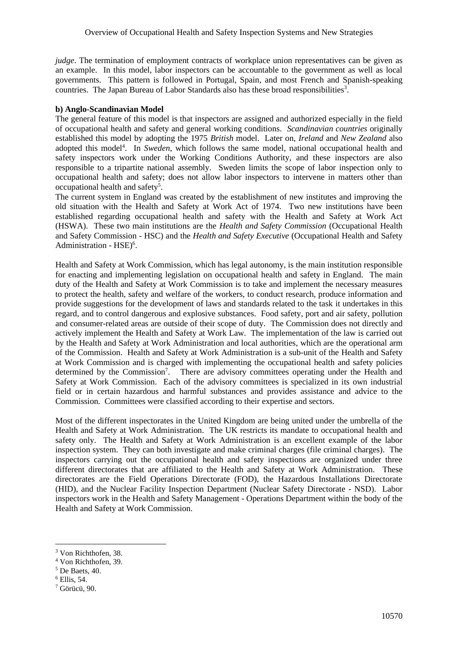*judge*. The termination of employment contracts of workplace union representatives can be given as an example. In this model, labor inspectors can be accountable to the government as well as local governments. This pattern is followed in Portugal, Spain, and most French and Spanish-speaking countries. The Japan Bureau of Labor Standards also has these broad responsibilities<sup>3</sup>.

### **b) Anglo-Scandinavian Model**

The general feature of this model is that inspectors are assigned and authorized especially in the field of occupational health and safety and general working conditions. *Scandinavian countries* originally established this model by adopting the 1975 *British* model. Later on, *Ireland* and *New Zealand* also adopted this model<sup>4</sup>. In *Sweden*, which follows the same model, national occupational health and safety inspectors work under the Working Conditions Authority, and these inspectors are also responsible to a tripartite national assembly. Sweden limits the scope of labor inspection only to occupational health and safety; does not allow labor inspectors to intervene in matters other than occupational health and safety<sup>5</sup>.

The current system in England was created by the establishment of new institutes and improving the old situation with the Health and Safety at Work Act of 1974. Two new institutions have been established regarding occupational health and safety with the Health and Safety at Work Act (HSWA). These two main institutions are the *Health and Safety Commission* (Occupational Health and Safety Commission - HSC) and the *Health and Safety Executive* (Occupational Health and Safety Administration - HSE)<sup>6</sup>.

Health and Safety at Work Commission, which has legal autonomy, is the main institution responsible for enacting and implementing legislation on occupational health and safety in England. The main duty of the Health and Safety at Work Commission is to take and implement the necessary measures to protect the health, safety and welfare of the workers, to conduct research, produce information and provide suggestions for the development of laws and standards related to the task it undertakes in this regard, and to control dangerous and explosive substances. Food safety, port and air safety, pollution and consumer-related areas are outside of their scope of duty. The Commission does not directly and actively implement the Health and Safety at Work Law. The implementation of the law is carried out by the Health and Safety at Work Administration and local authorities, which are the operational arm of the Commission. Health and Safety at Work Administration is a sub-unit of the Health and Safety at Work Commission and is charged with implementing the occupational health and safety policies determined by the Commission<sup>7</sup>. There are advisory committees operating under the Health and Safety at Work Commission. Each of the advisory committees is specialized in its own industrial field or in certain hazardous and harmful substances and provides assistance and advice to the Commission. Committees were classified according to their expertise and sectors.

Most of the different inspectorates in the United Kingdom are being united under the umbrella of the Health and Safety at Work Administration. The UK restricts its mandate to occupational health and safety only. The Health and Safety at Work Administration is an excellent example of the labor inspection system. They can both investigate and make criminal charges (file criminal charges). The inspectors carrying out the occupational health and safety inspections are organized under three different directorates that are affiliated to the Health and Safety at Work Administration. These directorates are the Field Operations Directorate (FOD), the Hazardous Installations Directorate (HID), and the Nuclear Facility Inspection Department (Nuclear Safety Directorate - NSD). Labor inspectors work in the Health and Safety Management - Operations Department within the body of the Health and Safety at Work Commission.

<sup>3</sup> Von Richthofen, 38.

<sup>4</sup> Von Richthofen, 39.

<sup>5</sup> De Baets, 40.

<sup>6</sup> Ellis, 54.

<sup>7</sup> Görücü, 90.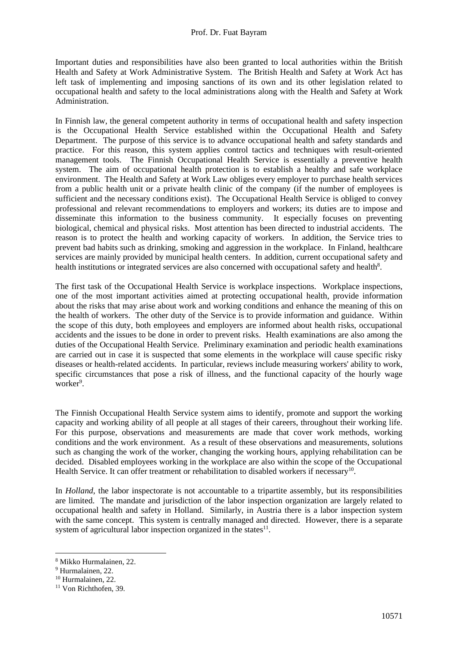Important duties and responsibilities have also been granted to local authorities within the British Health and Safety at Work Administrative System. The British Health and Safety at Work Act has left task of implementing and imposing sanctions of its own and its other legislation related to occupational health and safety to the local administrations along with the Health and Safety at Work Administration.

In Finnish law, the general competent authority in terms of occupational health and safety inspection is the Occupational Health Service established within the Occupational Health and Safety Department. The purpose of this service is to advance occupational health and safety standards and practice. For this reason, this system applies control tactics and techniques with result-oriented management tools. The Finnish Occupational Health Service is essentially a preventive health system. The aim of occupational health protection is to establish a healthy and safe workplace environment. The Health and Safety at Work Law obliges every employer to purchase health services from a public health unit or a private health clinic of the company (if the number of employees is sufficient and the necessary conditions exist). The Occupational Health Service is obliged to convey professional and relevant recommendations to employers and workers; its duties are to impose and disseminate this information to the business community. It especially focuses on preventing biological, chemical and physical risks. Most attention has been directed to industrial accidents. The reason is to protect the health and working capacity of workers. In addition, the Service tries to prevent bad habits such as drinking, smoking and aggression in the workplace. In Finland, healthcare services are mainly provided by municipal health centers. In addition, current occupational safety and health institutions or integrated services are also concerned with occupational safety and health<sup>8</sup>.

The first task of the Occupational Health Service is workplace inspections. Workplace inspections, one of the most important activities aimed at protecting occupational health, provide information about the risks that may arise about work and working conditions and enhance the meaning of this on the health of workers. The other duty of the Service is to provide information and guidance. Within the scope of this duty, both employees and employers are informed about health risks, occupational accidents and the issues to be done in order to prevent risks. Health examinations are also among the duties of the Occupational Health Service. Preliminary examination and periodic health examinations are carried out in case it is suspected that some elements in the workplace will cause specific risky diseases or health-related accidents. In particular, reviews include measuring workers' ability to work, specific circumstances that pose a risk of illness, and the functional capacity of the hourly wage worker<sup>9</sup>.

The Finnish Occupational Health Service system aims to identify, promote and support the working capacity and working ability of all people at all stages of their careers, throughout their working life. For this purpose, observations and measurements are made that cover work methods, working conditions and the work environment. As a result of these observations and measurements, solutions such as changing the work of the worker, changing the working hours, applying rehabilitation can be decided. Disabled employees working in the workplace are also within the scope of the Occupational Health Service. It can offer treatment or rehabilitation to disabled workers if necessary<sup>10</sup>.

In *Holland*, the labor inspectorate is not accountable to a tripartite assembly, but its responsibilities are limited. The mandate and jurisdiction of the labor inspection organization are largely related to occupational health and safety in Holland. Similarly, in Austria there is a labor inspection system with the same concept. This system is centrally managed and directed. However, there is a separate system of agricultural labor inspection organized in the states $11$ .

<sup>8</sup> Mikko Hurmalainen, 22.

<sup>9</sup> Hurmalainen, 22.

<sup>10</sup> Hurmalainen, 22.

<sup>11</sup> Von Richthofen, 39.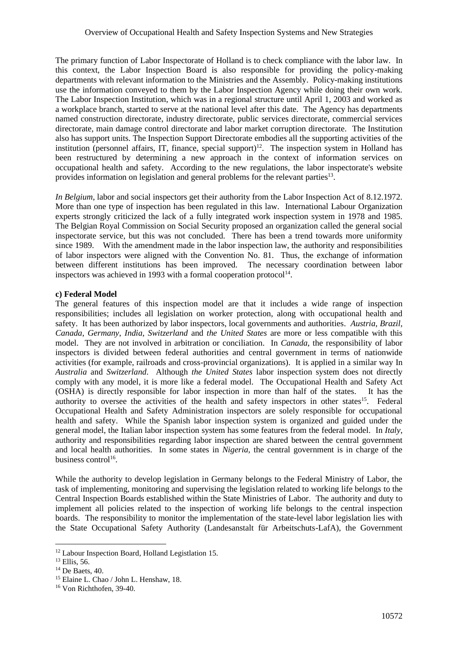The primary function of Labor Inspectorate of Holland is to check compliance with the labor law. In this context, the Labor Inspection Board is also responsible for providing the policy-making departments with relevant information to the Ministries and the Assembly. Policy-making institutions use the information conveyed to them by the Labor Inspection Agency while doing their own work. The Labor Inspection Institution, which was in a regional structure until April 1, 2003 and worked as a workplace branch, started to serve at the national level after this date. The Agency has departments named construction directorate, industry directorate, public services directorate, commercial services directorate, main damage control directorate and labor market corruption directorate. The Institution also has support units. The Inspection Support Directorate embodies all the supporting activities of the institution (personnel affairs, IT, finance, special support)<sup>12</sup>. The inspection system in Holland has been restructured by determining a new approach in the context of information services on occupational health and safety. According to the new regulations, the labor inspectorate's website provides information on legislation and general problems for the relevant parties<sup>13</sup>.

*In Belgium*, labor and social inspectors get their authority from the Labor Inspection Act of 8.12.1972. More than one type of inspection has been regulated in this law. International Labour Organization experts strongly criticized the lack of a fully integrated work inspection system in 1978 and 1985. The Belgian Royal Commission on Social Security proposed an organization called the general social inspectorate service, but this was not concluded. There has been a trend towards more uniformity since 1989. With the amendment made in the labor inspection law, the authority and responsibilities of labor inspectors were aligned with the Convention No. 81. Thus, the exchange of information between different institutions has been improved. The necessary coordination between labor inspectors was achieved in 1993 with a formal cooperation protocol $14$ .

### **c) Federal Model**

The general features of this inspection model are that it includes a wide range of inspection responsibilities; includes all legislation on worker protection, along with occupational health and safety. It has been authorized by labor inspectors, local governments and authorities. *Austria*, *Brazil*, *Canada*, *Germany*, *India*, *Switzerland* and *the United States* are more or less compatible with this model. They are not involved in arbitration or conciliation. In *Canada*, the responsibility of labor inspectors is divided between federal authorities and central government in terms of nationwide activities (for example, railroads and cross-provincial organizations). It is applied in a similar way In *Australia* and *Switzerland*. Although *the United States* labor inspection system does not directly comply with any model, it is more like a federal model. The Occupational Health and Safety Act (OSHA) is directly responsible for labor inspection in more than half of the states. It has the authority to oversee the activities of the health and safety inspectors in other states<sup>15</sup>. Federal Occupational Health and Safety Administration inspectors are solely responsible for occupational health and safety. While the Spanish labor inspection system is organized and guided under the general model, the Italian labor inspection system has some features from the federal model. In *Italy*, authority and responsibilities regarding labor inspection are shared between the central government and local health authorities. In some states in *Nigeria*, the central government is in charge of the business control<sup>16</sup>.

While the authority to develop legislation in Germany belongs to the Federal Ministry of Labor, the task of implementing, monitoring and supervising the legislation related to working life belongs to the Central Inspection Boards established within the State Ministries of Labor. The authority and duty to implement all policies related to the inspection of working life belongs to the central inspection boards. The responsibility to monitor the implementation of the state-level labor legislation lies with the State Occupational Safety Authority (Landesanstalt für Arbeitschuts-LafA), the Government

<sup>12</sup> Labour Inspection Board, Holland Legistlation 15.

<sup>13</sup> Ellis, 56.

<sup>14</sup> De Baets, 40.

<sup>15</sup> Elaine L. Chao / John L. Henshaw, 18.

<sup>16</sup> Von Richthofen, 39-40.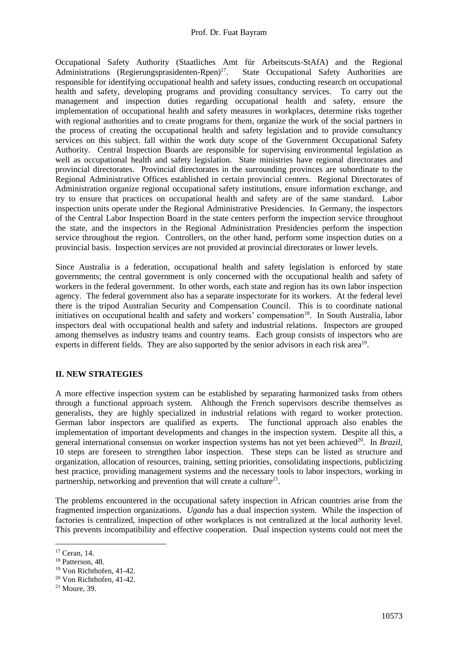#### Prof. Dr. Fuat Bayram

Occupational Safety Authority (Staatliches Amt für Arbeitscuts-StAfA) and the Regional Administrations (Regierungsprasidenten-Rpen) $17$ . . State Occupational Safety Authorities are responsible for identifying occupational health and safety issues, conducting research on occupational health and safety, developing programs and providing consultancy services. To carry out the management and inspection duties regarding occupational health and safety, ensure the implementation of occupational health and safety measures in workplaces, determine risks together with regional authorities and to create programs for them, organize the work of the social partners in the process of creating the occupational health and safety legislation and to provide consultancy services on this subject. fall within the work duty scope of the Government Occupational Safety Authority. Central Inspection Boards are responsible for supervising environmental legislation as well as occupational health and safety legislation. State ministries have regional directorates and provincial directorates. Provincial directorates in the surrounding provinces are subordinate to the Regional Administrative Offices established in certain provincial centers. Regional Directorates of Administration organize regional occupational safety institutions, ensure information exchange, and try to ensure that practices on occupational health and safety are of the same standard. Labor inspection units operate under the Regional Administrative Presidencies. In Germany, the inspectors of the Central Labor Inspection Board in the state centers perform the inspection service throughout the state, and the inspectors in the Regional Administration Presidencies perform the inspection service throughout the region. Controllers, on the other hand, perform some inspection duties on a provincial basis. Inspection services are not provided at provincial directorates or lower levels.

Since Australia is a federation, occupational health and safety legislation is enforced by state governments; the central government is only concerned with the occupational health and safety of workers in the federal government. In other words, each state and region has its own labor inspection agency. The federal government also has a separate inspectorate for its workers. At the federal level there is the tripod Australian Security and Compensation Council. This is to coordinate national initiatives on occupational health and safety and workers' compensation<sup>18</sup>. In South Australia, labor inspectors deal with occupational health and safety and industrial relations. Inspectors are grouped among themselves as industry teams and country teams. Each group consists of inspectors who are experts in different fields. They are also supported by the senior advisors in each risk area<sup>19</sup>.

# **II. NEW STRATEGIES**

A more effective inspection system can be established by separating harmonized tasks from others through a functional approach system. Although the French supervisors describe themselves as generalists, they are highly specialized in industrial relations with regard to worker protection. German labor inspectors are qualified as experts. The functional approach also enables the implementation of important developments and changes in the inspection system. Despite all this, a general international consensus on worker inspection systems has not yet been achieved<sup>20</sup>. In *Brazil*, 10 steps are foreseen to strengthen labor inspection. These steps can be listed as structure and organization, allocation of resources, training, setting priorities, consolidating inspections, publicizing best practice, providing management systems and the necessary tools to labor inspectors, working in partnership, networking and prevention that will create a culture<sup>21</sup>.

The problems encountered in the occupational safety inspection in African countries arise from the fragmented inspection organizations. *Uganda* has a dual inspection system. While the inspection of factories is centralized, inspection of other workplaces is not centralized at the local authority level. This prevents incompatibility and effective cooperation. Dual inspection systems could not meet the

<sup>19</sup> Von Richthofen, 41-42.

<sup>17</sup> Ceran, 14.

<sup>&</sup>lt;sup>18</sup> Patterson, 48.

<sup>20</sup> Von Richthofen, 41-42.

<sup>21</sup> Moure, 39.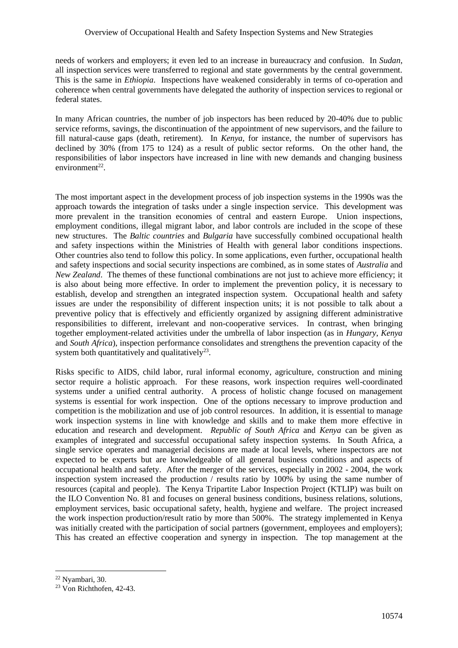#### Overview of Occupational Health and Safety Inspection Systems and New Strategies

needs of workers and employers; it even led to an increase in bureaucracy and confusion. In *Sudan*, all inspection services were transferred to regional and state governments by the central government. This is the same in *Ethiopia*. Inspections have weakened considerably in terms of co-operation and coherence when central governments have delegated the authority of inspection services to regional or federal states.

In many African countries, the number of job inspectors has been reduced by 20-40% due to public service reforms, savings, the discontinuation of the appointment of new supervisors, and the failure to fill natural-cause gaps (death, retirement). In *Kenya*, for instance, the number of supervisors has declined by 30% (from 175 to 124) as a result of public sector reforms. On the other hand, the responsibilities of labor inspectors have increased in line with new demands and changing business  $environment<sup>22</sup>$ .

The most important aspect in the development process of job inspection systems in the 1990s was the approach towards the integration of tasks under a single inspection service. This development was more prevalent in the transition economies of central and eastern Europe. Union inspections, employment conditions, illegal migrant labor, and labor controls are included in the scope of these new structures. The *Baltic countries* and *Bulgaria* have successfully combined occupational health and safety inspections within the Ministries of Health with general labor conditions inspections. Other countries also tend to follow this policy. In some applications, even further, occupational health and safety inspections and social security inspections are combined, as in some states of *Australia* and *New Zealand*. The themes of these functional combinations are not just to achieve more efficiency; it is also about being more effective. In order to implement the prevention policy, it is necessary to establish, develop and strengthen an integrated inspection system. Occupational health and safety issues are under the responsibility of different inspection units; it is not possible to talk about a preventive policy that is effectively and efficiently organized by assigning different administrative responsibilities to different, irrelevant and non-cooperative services. In contrast, when bringing together employment-related activities under the umbrella of labor inspection (as in *Hungary*, *Kenya* and *South Africa*), inspection performance consolidates and strengthens the prevention capacity of the system both quantitatively and qualitatively<sup>23</sup>.

Risks specific to AIDS, child labor, rural informal economy, agriculture, construction and mining sector require a holistic approach. For these reasons, work inspection requires well-coordinated systems under a unified central authority. A process of holistic change focused on management systems is essential for work inspection. One of the options necessary to improve production and competition is the mobilization and use of job control resources. In addition, it is essential to manage work inspection systems in line with knowledge and skills and to make them more effective in education and research and development. *Republic of South Africa* and *Kenya* can be given as examples of integrated and successful occupational safety inspection systems. In South Africa, a single service operates and managerial decisions are made at local levels, where inspectors are not expected to be experts but are knowledgeable of all general business conditions and aspects of occupational health and safety. After the merger of the services, especially in 2002 - 2004, the work inspection system increased the production / results ratio by 100% by using the same number of resources (capital and people). The Kenya Tripartite Labor Inspection Project (KTLIP) was built on the ILO Convention No. 81 and focuses on general business conditions, business relations, solutions, employment services, basic occupational safety, health, hygiene and welfare. The project increased the work inspection production/result ratio by more than 500%. The strategy implemented in Kenya was initially created with the participation of social partners (government, employees and employers); This has created an effective cooperation and synergy in inspection. The top management at the

 $22$  Nyambari, 30.

<sup>23</sup> Von Richthofen, 42-43.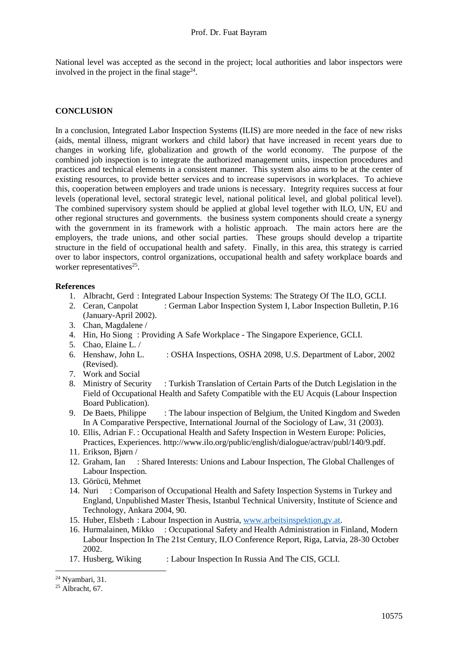National level was accepted as the second in the project; local authorities and labor inspectors were involved in the project in the final stage $^{24}$ .

# **CONCLUSION**

In a conclusion, Integrated Labor Inspection Systems (ILIS) are more needed in the face of new risks (aids, mental illness, migrant workers and child labor) that have increased in recent years due to changes in working life, globalization and growth of the world economy. The purpose of the combined job inspection is to integrate the authorized management units, inspection procedures and practices and technical elements in a consistent manner. This system also aims to be at the center of existing resources, to provide better services and to increase supervisors in workplaces. To achieve this, cooperation between employers and trade unions is necessary. Integrity requires success at four levels (operational level, sectoral strategic level, national political level, and global political level). The combined supervisory system should be applied at global level together with ILO, UN, EU and other regional structures and governments. the business system components should create a synergy with the government in its framework with a holistic approach. The main actors here are the employers, the trade unions, and other social parties. These groups should develop a tripartite structure in the field of occupational health and safety. Finally, in this area, this strategy is carried over to labor inspectors, control organizations, occupational health and safety workplace boards and worker representatives<sup>25</sup>.

## **References**

- 1. Albracht, Gerd : Integrated Labour Inspection Systems: The Strategy Of The ILO, GCLI.
- 2. Ceran, Canpolat : German Labor Inspection System I, Labor Inspection Bulletin, P.16 (January-April 2002).
- 3. Chan, Magdalene /
- 4. Hin, Ho Siong : Providing A Safe Workplace The Singapore Experience, GCLI.
- 5. Chao, Elaine L. /
- 6. Henshaw, John L. : OSHA Inspections, OSHA 2098, U.S. Department of Labor, 2002 (Revised).
- 7. Work and Social
- 8. Ministry of Security : Turkish Translation of Certain Parts of the Dutch Legislation in the Field of Occupational Health and Safety Compatible with the EU Acquis (Labour Inspection Board Publication).
- 9. De Baets, Philippe : The labour inspection of Belgium, the United Kingdom and Sweden In A Comparative Perspective, International Journal of the Sociology of Law, 31 (2003).
- 10. Ellis, Adrian F. : Occupational Health and Safety Inspection in Western Europe: Policies, Practices, Experiences. http://www.ilo.org/public/english/dialogue/actrav/publ/140/9.pdf.
- 11. Erikson, Bjørn /
- 12. Graham, Ian : Shared Interests: Unions and Labour Inspection, The Global Challenges of Labour Inspection.
- 13. Görücü, Mehmet
- 14. Nuri : Comparison of Occupational Health and Safety Inspection Systems in Turkey and England, Unpublished Master Thesis, Istanbul Technical University, Institute of Science and Technology, Ankara 2004, 90.
- 15. Huber, Elsbeth : Labour Inspection in Austria, [www.arbeitsinspektion,gv.at.](http://www.arbeitsinspektion,gv.at/)
- 16. Hurmalainen, Mikko : Occupational Safety and Health Administration in Finland, Modern Labour Inspection In The 21st Century, ILO Conference Report, Riga, Latvia, 28-30 October 2002.
- 17. Husberg, Wiking : Labour Inspection In Russia And The CIS, GCLI.

<sup>24</sup> Nyambari, 31.

 $25$  Albracht, 67.